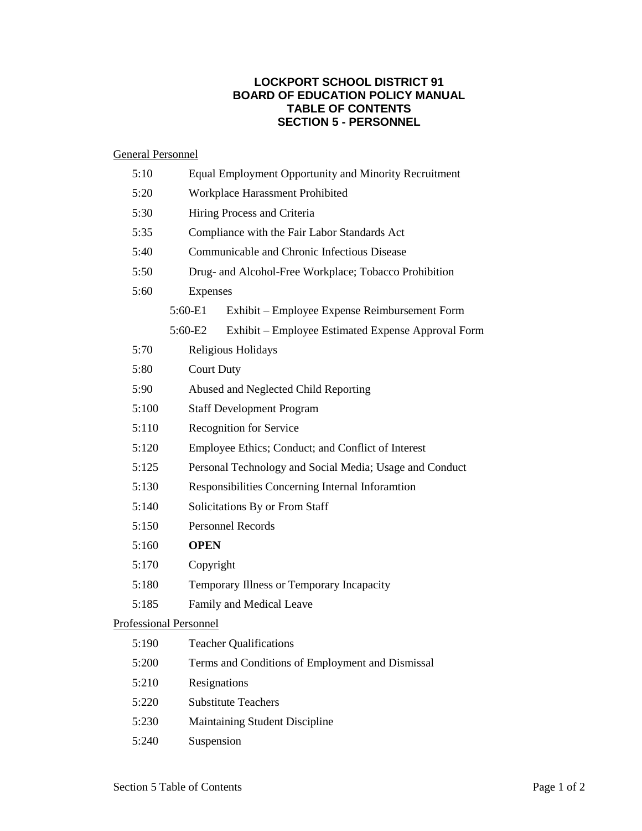## **LOCKPORT SCHOOL DISTRICT 91 BOARD OF EDUCATION POLICY MANUAL TABLE OF CONTENTS SECTION 5 - PERSONNEL**

## General Personnel

|                                           | 5:10                       |                               | Equal Employment Opportunity and Minority Recruitment   |  |  |
|-------------------------------------------|----------------------------|-------------------------------|---------------------------------------------------------|--|--|
|                                           | 5:20                       |                               | Workplace Harassment Prohibited                         |  |  |
|                                           | 5:30                       |                               | Hiring Process and Criteria                             |  |  |
|                                           | 5:35                       |                               | Compliance with the Fair Labor Standards Act            |  |  |
|                                           | 5:40                       |                               | Communicable and Chronic Infectious Disease             |  |  |
|                                           | 5:50                       |                               | Drug- and Alcohol-Free Workplace; Tobacco Prohibition   |  |  |
| 5:60                                      |                            |                               | Expenses                                                |  |  |
|                                           |                            | 5:60-E1                       | Exhibit – Employee Expense Reimbursement Form           |  |  |
|                                           |                            | 5:60-E2                       | Exhibit – Employee Estimated Expense Approval Form      |  |  |
|                                           | 5:70<br>Religious Holidays |                               |                                                         |  |  |
|                                           | 5:80                       |                               | <b>Court Duty</b>                                       |  |  |
| 5:90                                      |                            |                               | Abused and Neglected Child Reporting                    |  |  |
|                                           | 5:100                      |                               | <b>Staff Development Program</b>                        |  |  |
| 5:110<br>Recognition for Service<br>5:120 |                            |                               |                                                         |  |  |
|                                           |                            |                               | Employee Ethics; Conduct; and Conflict of Interest      |  |  |
|                                           | 5:125                      |                               | Personal Technology and Social Media; Usage and Conduct |  |  |
|                                           | 5:130                      |                               | Responsibilities Concerning Internal Inforamtion        |  |  |
|                                           | 5:140                      |                               | Solicitations By or From Staff                          |  |  |
| 5:150<br>5:160<br>5:170<br>5:180          |                            |                               | <b>Personnel Records</b>                                |  |  |
|                                           |                            |                               | <b>OPEN</b>                                             |  |  |
|                                           |                            |                               | Copyright                                               |  |  |
|                                           |                            |                               | Temporary Illness or Temporary Incapacity               |  |  |
|                                           | 5:185                      |                               | Family and Medical Leave                                |  |  |
|                                           |                            | <b>Professional Personnel</b> |                                                         |  |  |
|                                           | 5:190                      |                               | <b>Teacher Qualifications</b>                           |  |  |
|                                           | 5:200                      |                               | Terms and Conditions of Employment and Dismissal        |  |  |
|                                           | 5:210                      | Resignations                  |                                                         |  |  |
|                                           | 5:220                      |                               | <b>Substitute Teachers</b>                              |  |  |
|                                           | 5:230                      |                               | Maintaining Student Discipline                          |  |  |

5:240 Suspension